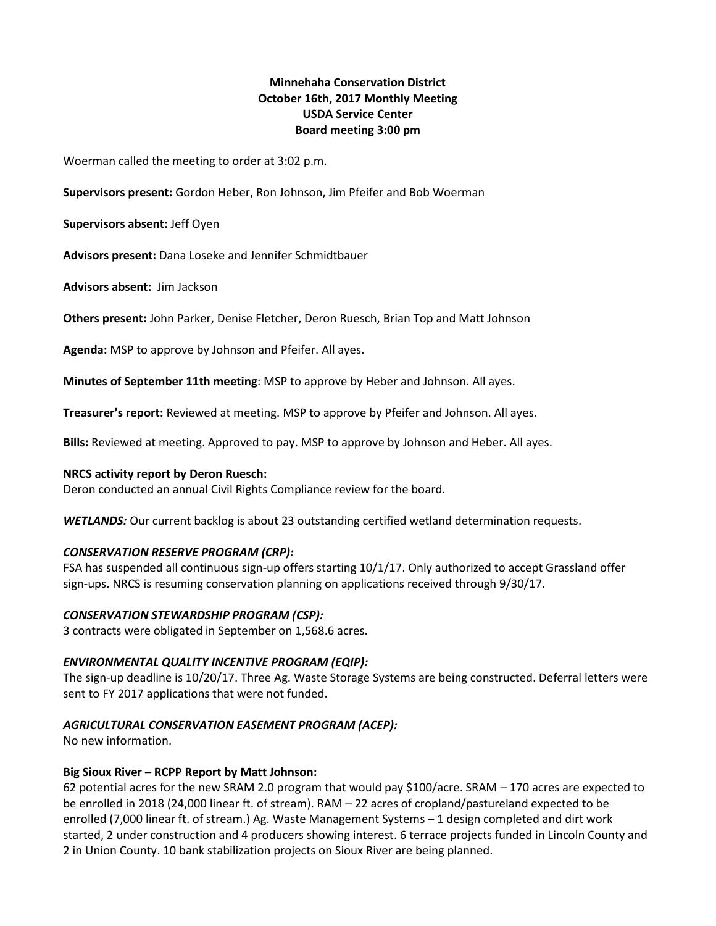# **Minnehaha Conservation District October 16th, 2017 Monthly Meeting USDA Service Center Board meeting 3:00 pm**

Woerman called the meeting to order at 3:02 p.m.

**Supervisors present:** Gordon Heber, Ron Johnson, Jim Pfeifer and Bob Woerman

**Supervisors absent:** Jeff Oyen

**Advisors present:** Dana Loseke and Jennifer Schmidtbauer

**Advisors absent:** Jim Jackson

**Others present:** John Parker, Denise Fletcher, Deron Ruesch, Brian Top and Matt Johnson

**Agenda:** MSP to approve by Johnson and Pfeifer. All ayes.

**Minutes of September 11th meeting**: MSP to approve by Heber and Johnson. All ayes.

**Treasurer's report:** Reviewed at meeting. MSP to approve by Pfeifer and Johnson. All ayes.

**Bills:** Reviewed at meeting. Approved to pay. MSP to approve by Johnson and Heber. All ayes.

# **NRCS activity report by Deron Ruesch:**

Deron conducted an annual Civil Rights Compliance review for the board.

*WETLANDS:* Our current backlog is about 23 outstanding certified wetland determination requests.

# *CONSERVATION RESERVE PROGRAM (CRP):*

FSA has suspended all continuous sign-up offers starting 10/1/17. Only authorized to accept Grassland offer sign-ups. NRCS is resuming conservation planning on applications received through 9/30/17.

# *CONSERVATION STEWARDSHIP PROGRAM (CSP):*

3 contracts were obligated in September on 1,568.6 acres.

# *ENVIRONMENTAL QUALITY INCENTIVE PROGRAM (EQIP):*

The sign-up deadline is 10/20/17. Three Ag. Waste Storage Systems are being constructed. Deferral letters were sent to FY 2017 applications that were not funded.

# *AGRICULTURAL CONSERVATION EASEMENT PROGRAM (ACEP):*

No new information.

# **Big Sioux River – RCPP Report by Matt Johnson:**

62 potential acres for the new SRAM 2.0 program that would pay \$100/acre. SRAM – 170 acres are expected to be enrolled in 2018 (24,000 linear ft. of stream). RAM – 22 acres of cropland/pastureland expected to be enrolled (7,000 linear ft. of stream.) Ag. Waste Management Systems – 1 design completed and dirt work started, 2 under construction and 4 producers showing interest. 6 terrace projects funded in Lincoln County and 2 in Union County. 10 bank stabilization projects on Sioux River are being planned.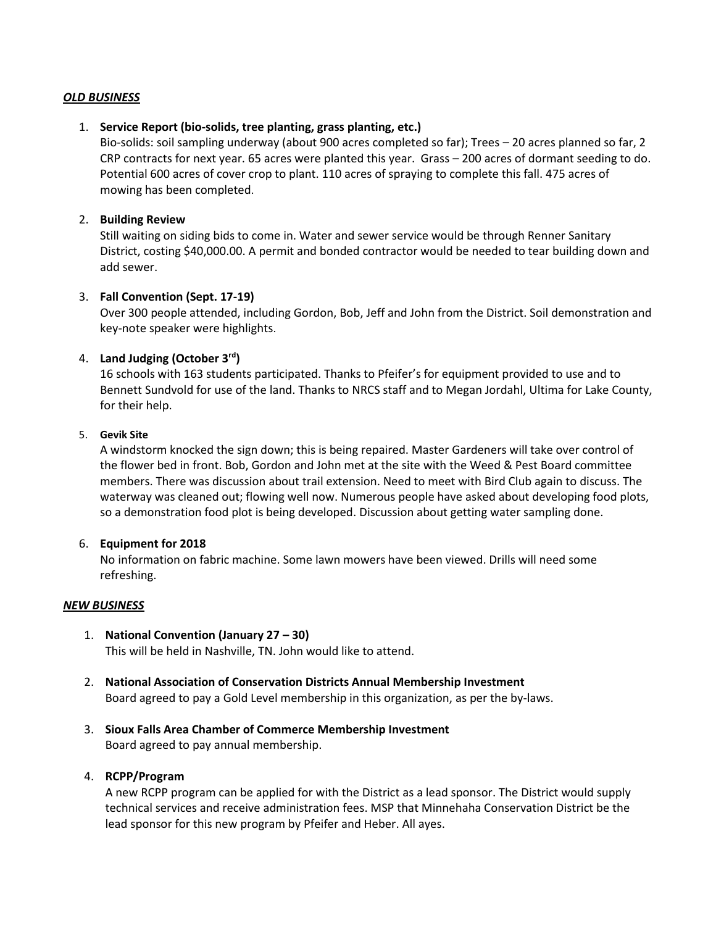# *OLD BUSINESS*

## 1. **Service Report (bio-solids, tree planting, grass planting, etc.)**

Bio-solids: soil sampling underway (about 900 acres completed so far); Trees – 20 acres planned so far, 2 CRP contracts for next year. 65 acres were planted this year. Grass – 200 acres of dormant seeding to do. Potential 600 acres of cover crop to plant. 110 acres of spraying to complete this fall. 475 acres of mowing has been completed.

## 2. **Building Review**

Still waiting on siding bids to come in. Water and sewer service would be through Renner Sanitary District, costing \$40,000.00. A permit and bonded contractor would be needed to tear building down and add sewer.

## 3. **Fall Convention (Sept. 17-19)**

Over 300 people attended, including Gordon, Bob, Jeff and John from the District. Soil demonstration and key-note speaker were highlights.

# 4. **Land Judging (October 3rd)**

16 schools with 163 students participated. Thanks to Pfeifer's for equipment provided to use and to Bennett Sundvold for use of the land. Thanks to NRCS staff and to Megan Jordahl, Ultima for Lake County, for their help.

#### 5. **Gevik Site**

A windstorm knocked the sign down; this is being repaired. Master Gardeners will take over control of the flower bed in front. Bob, Gordon and John met at the site with the Weed & Pest Board committee members. There was discussion about trail extension. Need to meet with Bird Club again to discuss. The waterway was cleaned out; flowing well now. Numerous people have asked about developing food plots, so a demonstration food plot is being developed. Discussion about getting water sampling done.

#### 6. **Equipment for 2018**

No information on fabric machine. Some lawn mowers have been viewed. Drills will need some refreshing.

#### *NEW BUSINESS*

- 1. **National Convention (January 27 – 30)** This will be held in Nashville, TN. John would like to attend.
- 2. **National Association of Conservation Districts Annual Membership Investment** Board agreed to pay a Gold Level membership in this organization, as per the by-laws.
- 3. **Sioux Falls Area Chamber of Commerce Membership Investment** Board agreed to pay annual membership.

#### 4. **RCPP/Program**

A new RCPP program can be applied for with the District as a lead sponsor. The District would supply technical services and receive administration fees. MSP that Minnehaha Conservation District be the lead sponsor for this new program by Pfeifer and Heber. All ayes.